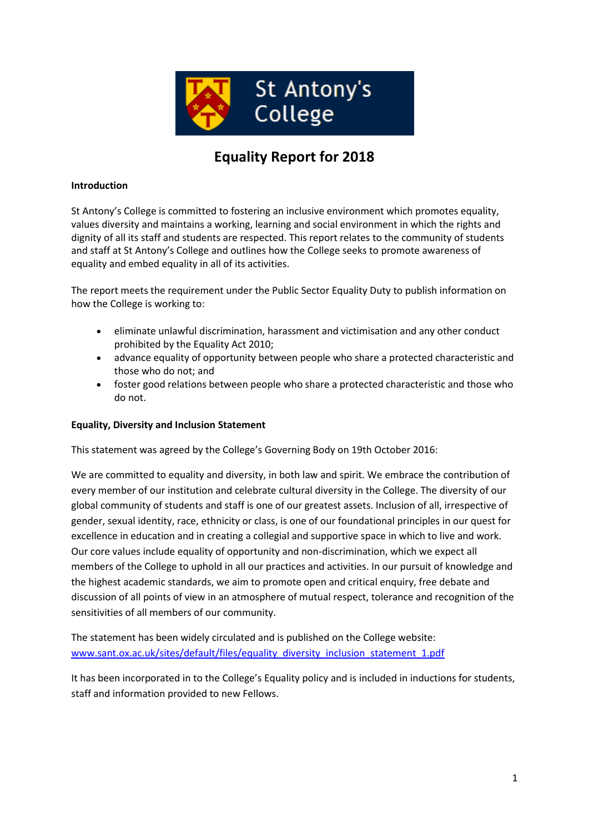

# **Equality Report for 2018**

## **Introduction**

St Antony's College is committed to fostering an inclusive environment which promotes equality, values diversity and maintains a working, learning and social environment in which the rights and dignity of all its staff and students are respected. This report relates to the community of students and staff at St Antony's College and outlines how the College seeks to promote awareness of equality and embed equality in all of its activities.

The report meets the requirement under the Public Sector Equality Duty to publish information on how the College is working to:

- eliminate unlawful discrimination, harassment and victimisation and any other conduct prohibited by the Equality Act 2010;
- advance equality of opportunity between people who share a protected characteristic and those who do not; and
- foster good relations between people who share a protected characteristic and those who do not.

#### **Equality, Diversity and Inclusion Statement**

This statement was agreed by the College's Governing Body on 19th October 2016:

We are committed to equality and diversity, in both law and spirit. We embrace the contribution of every member of our institution and celebrate cultural diversity in the College. The diversity of our global community of students and staff is one of our greatest assets. Inclusion of all, irrespective of gender, sexual identity, race, ethnicity or class, is one of our foundational principles in our quest for excellence in education and in creating a collegial and supportive space in which to live and work. Our core values include equality of opportunity and non-discrimination, which we expect all members of the College to uphold in all our practices and activities. In our pursuit of knowledge and the highest academic standards, we aim to promote open and critical enquiry, free debate and discussion of all points of view in an atmosphere of mutual respect, tolerance and recognition of the sensitivities of all members of our community.

The statement has been widely circulated and is published on the College website: [www.sant.ox.ac.uk/sites/default/files/equality\\_diversity\\_inclusion\\_statement\\_1.pdf](http://www.sant.ox.ac.uk/sites/default/files/equality_diversity_inclusion_statement_1.pdf)

It has been incorporated in to the College's Equality policy and is included in inductions for students, staff and information provided to new Fellows.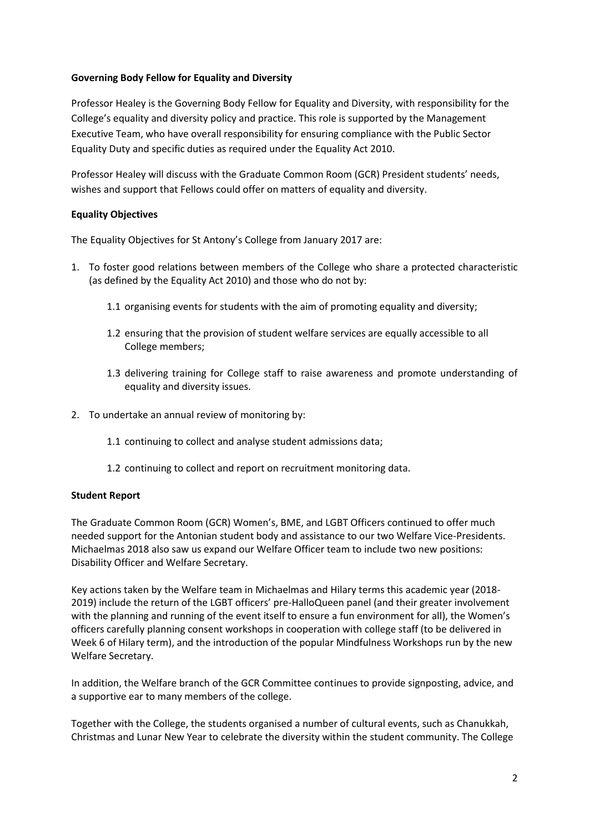## **Governing Body Fellow for Equality and Diversity**

Professor Healey is the Governing Body Fellow for Equality and Diversity, with responsibility for the College's equality and diversity policy and practice. This role is supported by the Management Executive Team, who have overall responsibility for ensuring compliance with the Public Sector Equality Duty and specific duties as required under the Equality Act 2010.

Professor Healey will discuss with the Graduate Common Room (GCR) President students' needs, wishes and support that Fellows could offer on matters of equality and diversity.

## **Equality Objectives**

The Equality Objectives for St Antony's College from January 2017 are:

- 1. To foster good relations between members of the College who share a protected characteristic (as defined by the Equality Act 2010) and those who do not by:
	- 1.1 organising events for students with the aim of promoting equality and diversity;
	- 1.2 ensuring that the provision of student welfare services are equally accessible to all College members;
	- 1.3 delivering training for College staff to raise awareness and promote understanding of equality and diversity issues.
- 2. To undertake an annual review of monitoring by:
	- 1.1 continuing to collect and analyse student admissions data;
	- 1.2 continuing to collect and report on recruitment monitoring data.

#### **Student Report**

The Graduate Common Room (GCR) Women's, BME, and LGBT Officers continued to offer much needed support for the Antonian student body and assistance to our two Welfare Vice-Presidents. Michaelmas 2018 also saw us expand our Welfare Officer team to include two new positions: Disability Officer and Welfare Secretary.

Key actions taken by the Welfare team in Michaelmas and Hilary terms this academic year (2018- 2019) include the return of the LGBT officers' pre-HalloQueen panel (and their greater involvement with the planning and running of the event itself to ensure a fun environment for all), the Women's officers carefully planning consent workshops in cooperation with college staff (to be delivered in Week 6 of Hilary term), and the introduction of the popular Mindfulness Workshops run by the new Welfare Secretary.

In addition, the Welfare branch of the GCR Committee continues to provide signposting, advice, and a supportive ear to many members of the college.

Together with the College, the students organised a number of cultural events, such as Chanukkah, Christmas and Lunar New Year to celebrate the diversity within the student community. The College